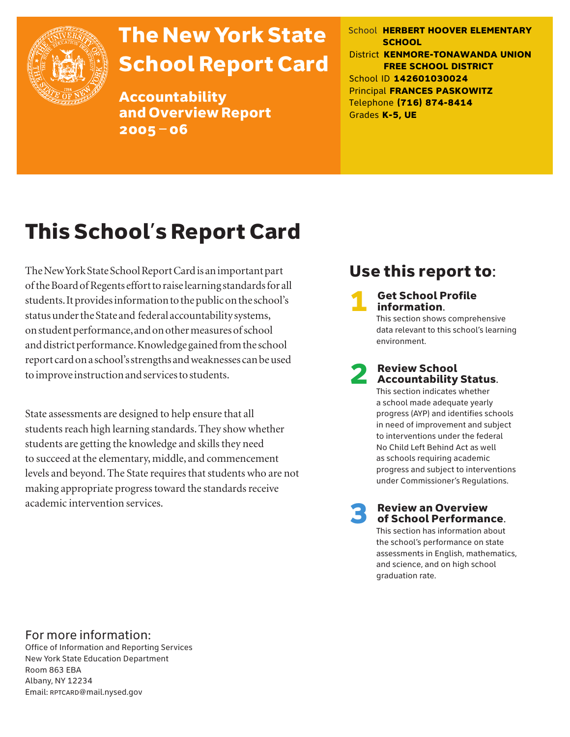

# The New York State School Report Card

Accountability and Overview Report 2005–06

School **HERBERT HOOVER ELEMENTARY SCHOOL** District **KENMORE-TONAWANDA UNION FREE SCHOOL DISTRICT** School ID **142601030024** Principal **FRANCES PASKOWITZ** Telephone **(716) 874-8414** Grades **K-5, UE**

# This School's Report Card

The New York State School Report Card is an important part of the Board of Regents effort to raise learning standards for all students. It provides information to the public on the school's status under the State and federal accountability systems, on student performance, and on other measures of school and district performance. Knowledge gained from the school report card on a school's strengths and weaknesses can be used to improve instruction and services to students.

State assessments are designed to help ensure that all students reach high learning standards. They show whether students are getting the knowledge and skills they need to succeed at the elementary, middle, and commencement levels and beyond. The State requires that students who are not making appropriate progress toward the standards receive academic intervention services.

### Use this report to:

**Get School Profile** information. This section shows comprehensive data relevant to this school's learning environment.

# 2 Review School Accountability Status.

This section indicates whether a school made adequate yearly progress (AYP) and identifies schools in need of improvement and subject to interventions under the federal No Child Left Behind Act as well as schools requiring academic progress and subject to interventions under Commissioner's Regulations.

**Review an Overview** of School Performance.

This section has information about the school's performance on state assessments in English, mathematics, and science, and on high school graduation rate.

### For more information:

Office of Information and Reporting Services New York State Education Department Room 863 EBA Albany, NY 12234 Email: RPTCARD@mail.nysed.gov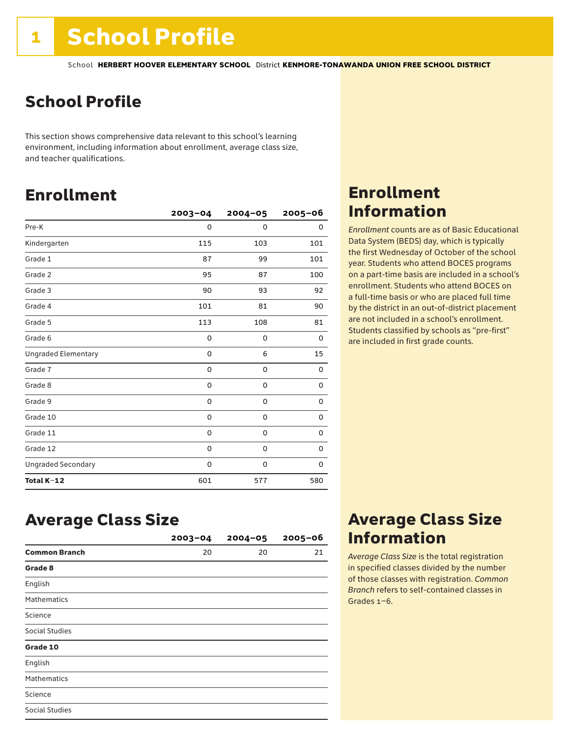## School Profile

This section shows comprehensive data relevant to this school's learning environment, including information about enrollment, average class size, and teacher qualifications.

### Enrollment

|                            | $2003 - 04$ | $2004 - 05$ | 2005-06     |
|----------------------------|-------------|-------------|-------------|
| Pre-K                      | 0           | $\Omega$    | 0           |
| Kindergarten               | 115         | 103         | 101         |
| Grade 1                    | 87          | 99          | 101         |
| Grade 2                    | 95          | 87          | 100         |
| Grade 3                    | 90          | 93          | 92          |
| Grade 4                    | 101         | 81          | 90          |
| Grade 5                    | 113         | 108         | 81          |
| Grade 6                    | 0           | 0           | 0           |
| <b>Ungraded Elementary</b> | 0           | 6           | 15          |
| Grade 7                    | 0           | $\mathbf 0$ | 0           |
| Grade 8                    | 0           | 0           | 0           |
| Grade 9                    | 0           | 0           | 0           |
| Grade 10                   | 0           | 0           | 0           |
| Grade 11                   | 0           | $\mathbf 0$ | 0           |
| Grade 12                   | 0           | $\mathbf 0$ | $\mathbf 0$ |
| <b>Ungraded Secondary</b>  | 0           | 0           | 0           |
| Total K-12                 | 601         | 577         | 580         |

### Enrollment Information

*Enrollment* counts are as of Basic Educational Data System (BEDS) day, which is typically the first Wednesday of October of the school year. Students who attend BOCES programs on a part-time basis are included in a school's enrollment. Students who attend BOCES on a full-time basis or who are placed full time by the district in an out-of-district placement are not included in a school's enrollment. Students classified by schools as "pre-first" are included in first grade counts.

### Average Class Size

|                      | $2003 - 04$ | $2004 - 05$ | $2005 - 06$ |
|----------------------|-------------|-------------|-------------|
| <b>Common Branch</b> | 20          | 20          | 21          |
| Grade 8              |             |             |             |
| English              |             |             |             |
| <b>Mathematics</b>   |             |             |             |
| Science              |             |             |             |
| Social Studies       |             |             |             |
| Grade 10             |             |             |             |
| English              |             |             |             |
| <b>Mathematics</b>   |             |             |             |
| Science              |             |             |             |
| Social Studies       |             |             |             |

### Average Class Size Information

*Average Class Size* is the total registration in specified classes divided by the number of those classes with registration. *Common Branch* refers to self-contained classes in Grades 1–6.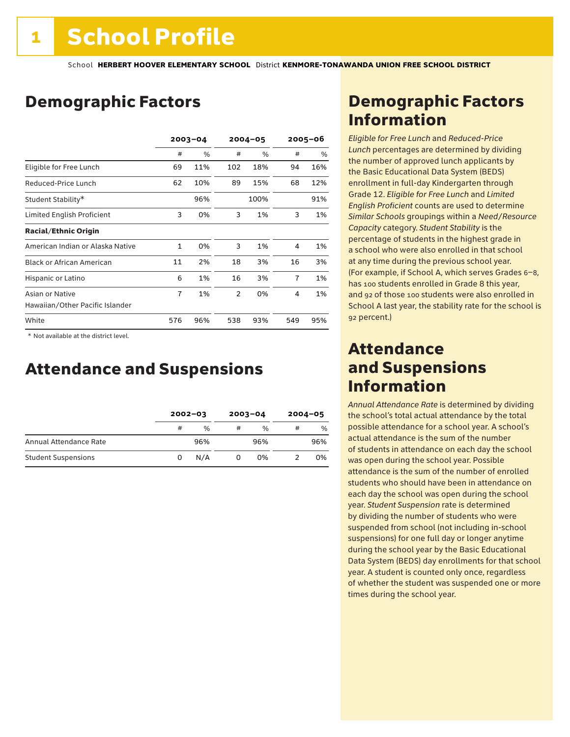### Demographic Factors

|                                                    | $2003 - 04$ |      | $2004 - 05$    |      | 2005–06 |     |
|----------------------------------------------------|-------------|------|----------------|------|---------|-----|
|                                                    | #           | $\%$ | #              | $\%$ | #       | %   |
| Eligible for Free Lunch                            | 69          | 11%  | 102            | 18%  | 94      | 16% |
| Reduced-Price Lunch                                | 62          | 10%  | 89             | 15%  | 68      | 12% |
| Student Stability*                                 |             | 96%  |                | 100% |         | 91% |
| Limited English Proficient                         | 3           | 0%   | 3              | 1%   | 3       | 1%  |
| <b>Racial/Ethnic Origin</b>                        |             |      |                |      |         |     |
| American Indian or Alaska Native                   | 1           | 0%   | 3              | 1%   | 4       | 1%  |
| <b>Black or African American</b>                   | 11          | 2%   | 18             | 3%   | 16      | 3%  |
| Hispanic or Latino                                 | 6           | 1%   | 16             | 3%   | 7       | 1%  |
| Asian or Native<br>Hawaiian/Other Pacific Islander | 7           | 1%   | $\overline{2}$ | 0%   | 4       | 1%  |
| White                                              | 576         | 96%  | 538            | 93%  | 549     | 95% |

 \* Not available at the district level.

### Attendance and Suspensions

|                            |   | $2002 - 03$   |   | $2003 - 04$   |   | $2004 - 05$ |  |
|----------------------------|---|---------------|---|---------------|---|-------------|--|
|                            | # | $\frac{0}{6}$ | # | $\frac{0}{0}$ | # | %           |  |
| Annual Attendance Rate     |   | 96%           |   | 96%           |   | 96%         |  |
| <b>Student Suspensions</b> | 0 | N/A           |   | 0%            |   | 0%          |  |

### Demographic Factors Information

*Eligible for Free Lunch* and *Reduced*-*Price Lunch* percentages are determined by dividing the number of approved lunch applicants by the Basic Educational Data System (BEDS) enrollment in full-day Kindergarten through Grade 12. *Eligible for Free Lunch* and *Limited English Proficient* counts are used to determine *Similar Schools* groupings within a *Need*/*Resource Capacity* category. *Student Stability* is the percentage of students in the highest grade in a school who were also enrolled in that school at any time during the previous school year. (For example, if School A, which serves Grades 6–8, has 100 students enrolled in Grade 8 this year, and 92 of those 100 students were also enrolled in School A last year, the stability rate for the school is 92 percent.)

### Attendance and Suspensions Information

*Annual Attendance Rate* is determined by dividing the school's total actual attendance by the total possible attendance for a school year. A school's actual attendance is the sum of the number of students in attendance on each day the school was open during the school year. Possible attendance is the sum of the number of enrolled students who should have been in attendance on each day the school was open during the school year. *Student Suspension* rate is determined by dividing the number of students who were suspended from school (not including in-school suspensions) for one full day or longer anytime during the school year by the Basic Educational Data System (BEDS) day enrollments for that school year. A student is counted only once, regardless of whether the student was suspended one or more times during the school year.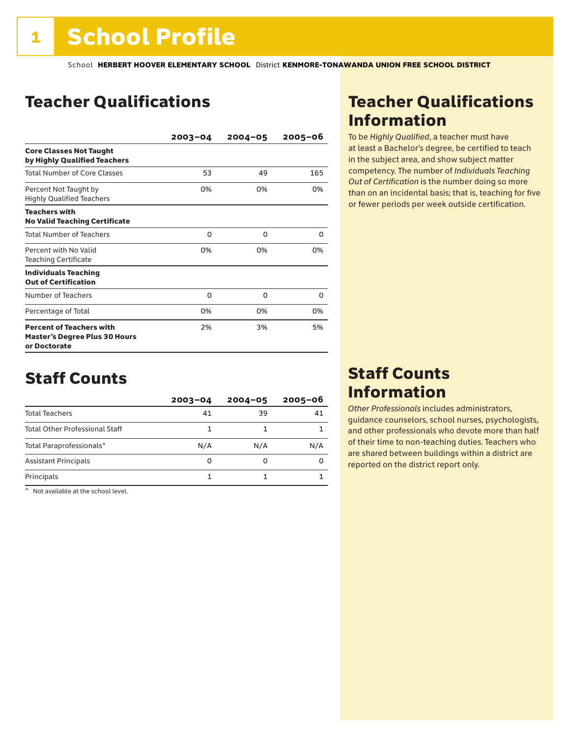### Teacher Qualifications

|                                                                                         | $2003 - 04$ | $2004 - 05$ | $2005 - 06$ |
|-----------------------------------------------------------------------------------------|-------------|-------------|-------------|
| <b>Core Classes Not Taught</b><br>by Highly Qualified Teachers                          |             |             |             |
| <b>Total Number of Core Classes</b>                                                     | 53          | 49          | 165         |
| Percent Not Taught by<br><b>Highly Qualified Teachers</b>                               | 0%          | 0%          | 0%          |
| <b>Teachers with</b><br><b>No Valid Teaching Certificate</b>                            |             |             |             |
| <b>Total Number of Teachers</b>                                                         | $\Omega$    | 0           | 0           |
| Percent with No Valid<br><b>Teaching Certificate</b>                                    | 0%          | 0%          | 0%          |
| <b>Individuals Teaching</b><br><b>Out of Certification</b>                              |             |             |             |
| Number of Teachers                                                                      | 0           | 0           | O           |
| Percentage of Total                                                                     | 0%          | 0%          | 0%          |
| <b>Percent of Teachers with</b><br><b>Master's Degree Plus 30 Hours</b><br>or Doctorate | 2%          | 3%          | 5%          |

### Staff Counts

|                                       | $2003 - 04$ | $2004 - 05$ | $2005 - 06$ |
|---------------------------------------|-------------|-------------|-------------|
| <b>Total Teachers</b>                 | 41          | 39          | 41          |
| <b>Total Other Professional Staff</b> |             |             |             |
| Total Paraprofessionals*              | N/A         | N/A         | N/A         |
| <b>Assistant Principals</b>           | 0           |             |             |
| Principals                            |             |             |             |

\* Not available at the school level.

### Teacher Qualifications Information

To be *Highly Qualified*, a teacher must have at least a Bachelor's degree, be certified to teach in the subject area, and show subject matter competency. The number of *Individuals Teaching Out of Certification* is the number doing so more than on an incidental basis; that is, teaching for five or fewer periods per week outside certification.

### Staff Counts Information

*Other Professionals* includes administrators, guidance counselors, school nurses, psychologists, and other professionals who devote more than half of their time to non-teaching duties. Teachers who are shared between buildings within a district are reported on the district report only.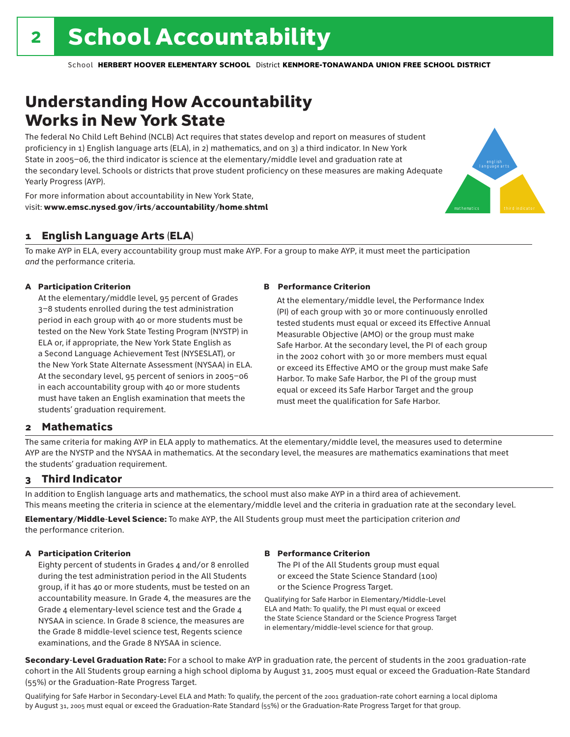## Understanding How Accountability Works in New York State

The federal No Child Left Behind (NCLB) Act requires that states develop and report on measures of student proficiency in 1) English language arts (ELA), in 2) mathematics, and on 3) a third indicator. In New York State in 2005–06, the third indicator is science at the elementary/middle level and graduation rate at the secondary level. Schools or districts that prove student proficiency on these measures are making Adequate Yearly Progress (AYP).



For more information about accountability in New York State, visit: www.emsc.nysed.gov/irts/accountability/home.shtml

### 1 English Language Arts (ELA)

To make AYP in ELA, every accountability group must make AYP. For a group to make AYP, it must meet the participation *and* the performance criteria.

#### A Participation Criterion

At the elementary/middle level, 95 percent of Grades 3–8 students enrolled during the test administration period in each group with 40 or more students must be tested on the New York State Testing Program (NYSTP) in ELA or, if appropriate, the New York State English as a Second Language Achievement Test (NYSESLAT), or the New York State Alternate Assessment (NYSAA) in ELA. At the secondary level, 95 percent of seniors in 2005–06 in each accountability group with 40 or more students must have taken an English examination that meets the students' graduation requirement.

#### B Performance Criterion

At the elementary/middle level, the Performance Index (PI) of each group with 30 or more continuously enrolled tested students must equal or exceed its Effective Annual Measurable Objective (AMO) or the group must make Safe Harbor. At the secondary level, the PI of each group in the 2002 cohort with 30 or more members must equal or exceed its Effective AMO or the group must make Safe Harbor. To make Safe Harbor, the PI of the group must equal or exceed its Safe Harbor Target and the group must meet the qualification for Safe Harbor.

#### 2 Mathematics

The same criteria for making AYP in ELA apply to mathematics. At the elementary/middle level, the measures used to determine AYP are the NYSTP and the NYSAA in mathematics. At the secondary level, the measures are mathematics examinations that meet the students' graduation requirement.

#### 3 Third Indicator

In addition to English language arts and mathematics, the school must also make AYP in a third area of achievement. This means meeting the criteria in science at the elementary/middle level and the criteria in graduation rate at the secondary level.

Elementary/Middle-Level Science: To make AYP, the All Students group must meet the participation criterion *and* the performance criterion.

#### A Participation Criterion

Eighty percent of students in Grades 4 and/or 8 enrolled during the test administration period in the All Students group, if it has 40 or more students, must be tested on an accountability measure. In Grade 4, the measures are the Grade 4 elementary-level science test and the Grade 4 NYSAA in science. In Grade 8 science, the measures are the Grade 8 middle-level science test, Regents science examinations, and the Grade 8 NYSAA in science.

#### B Performance Criterion

The PI of the All Students group must equal or exceed the State Science Standard (100) or the Science Progress Target.

Qualifying for Safe Harbor in Elementary/Middle-Level ELA and Math: To qualify, the PI must equal or exceed the State Science Standard or the Science Progress Target in elementary/middle-level science for that group.

Secondary-Level Graduation Rate: For a school to make AYP in graduation rate, the percent of students in the 2001 graduation-rate cohort in the All Students group earning a high school diploma by August 31, 2005 must equal or exceed the Graduation-Rate Standard (55%) or the Graduation-Rate Progress Target.

Qualifying for Safe Harbor in Secondary-Level ELA and Math: To qualify, the percent of the 2001 graduation-rate cohort earning a local diploma by August 31, 2005 must equal or exceed the Graduation-Rate Standard (55%) or the Graduation-Rate Progress Target for that group.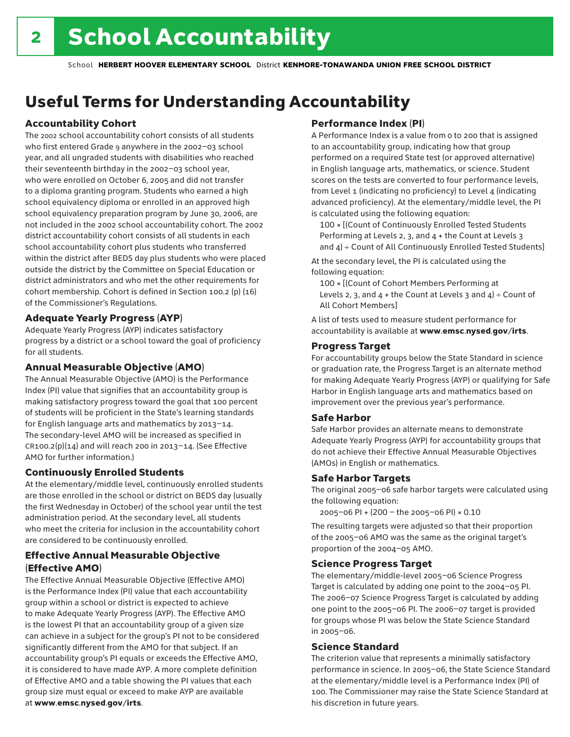## Useful Terms for Understanding Accountability

### Accountability Cohort

The 2002 school accountability cohort consists of all students who first entered Grade 9 anywhere in the 2002–03 school year, and all ungraded students with disabilities who reached their seventeenth birthday in the 2002–03 school year, who were enrolled on October 6, 2005 and did not transfer to a diploma granting program. Students who earned a high school equivalency diploma or enrolled in an approved high school equivalency preparation program by June 30, 2006, are not included in the 2002 school accountability cohort. The 2002 district accountability cohort consists of all students in each school accountability cohort plus students who transferred within the district after BEDS day plus students who were placed outside the district by the Committee on Special Education or district administrators and who met the other requirements for cohort membership. Cohort is defined in Section 100.2 (p) (16) of the Commissioner's Regulations.

#### Adequate Yearly Progress (AYP)

Adequate Yearly Progress (AYP) indicates satisfactory progress by a district or a school toward the goal of proficiency for all students.

#### Annual Measurable Objective (AMO)

The Annual Measurable Objective (AMO) is the Performance Index (PI) value that signifies that an accountability group is making satisfactory progress toward the goal that 100 percent of students will be proficient in the State's learning standards for English language arts and mathematics by 2013–14. The secondary-level AMO will be increased as specified in  $CR100.2(p)(14)$  and will reach 200 in 2013-14. (See Effective AMO for further information.)

#### Continuously Enrolled Students

At the elementary/middle level, continuously enrolled students are those enrolled in the school or district on BEDS day (usually the first Wednesday in October) of the school year until the test administration period. At the secondary level, all students who meet the criteria for inclusion in the accountability cohort are considered to be continuously enrolled.

#### Effective Annual Measurable Objective (Effective AMO)

The Effective Annual Measurable Objective (Effective AMO) is the Performance Index (PI) value that each accountability group within a school or district is expected to achieve to make Adequate Yearly Progress (AYP). The Effective AMO is the lowest PI that an accountability group of a given size can achieve in a subject for the group's PI not to be considered significantly different from the AMO for that subject. If an accountability group's PI equals or exceeds the Effective AMO, it is considered to have made AYP. A more complete definition of Effective AMO and a table showing the PI values that each group size must equal or exceed to make AYP are available at www.emsc.nysed.gov/irts.

### Performance Index (PI)

A Performance Index is a value from 0 to 200 that is assigned to an accountability group, indicating how that group performed on a required State test (or approved alternative) in English language arts, mathematics, or science. Student scores on the tests are converted to four performance levels, from Level 1 (indicating no proficiency) to Level 4 (indicating advanced proficiency). At the elementary/middle level, the PI is calculated using the following equation:

100 × [(Count of Continuously Enrolled Tested Students Performing at Levels 2, 3, and 4 + the Count at Levels 3 and  $4$ ) ÷ Count of All Continuously Enrolled Tested Students]

At the secondary level, the PI is calculated using the following equation:

100 × [(Count of Cohort Members Performing at Levels 2, 3, and  $4 +$  the Count at Levels 3 and  $4$ ) ÷ Count of All Cohort Members]

A list of tests used to measure student performance for accountability is available at www.emsc.nysed.gov/irts.

#### Progress Target

For accountability groups below the State Standard in science or graduation rate, the Progress Target is an alternate method for making Adequate Yearly Progress (AYP) or qualifying for Safe Harbor in English language arts and mathematics based on improvement over the previous year's performance.

#### Safe Harbor

Safe Harbor provides an alternate means to demonstrate Adequate Yearly Progress (AYP) for accountability groups that do not achieve their Effective Annual Measurable Objectives (AMOs) in English or mathematics.

#### Safe Harbor Targets

The original 2005–06 safe harbor targets were calculated using the following equation:

2005–06 PI + (200 – the 2005–06 PI) × 0.10

The resulting targets were adjusted so that their proportion of the 2005–06 AMO was the same as the original target's proportion of the 2004–05 AMO.

#### Science Progress Target

The elementary/middle-level 2005–06 Science Progress Target is calculated by adding one point to the 2004–05 PI. The 2006–07 Science Progress Target is calculated by adding one point to the 2005–06 PI. The 2006–07 target is provided for groups whose PI was below the State Science Standard in 2005–06.

#### Science Standard

The criterion value that represents a minimally satisfactory performance in science. In 2005–06, the State Science Standard at the elementary/middle level is a Performance Index (PI) of 100. The Commissioner may raise the State Science Standard at his discretion in future years.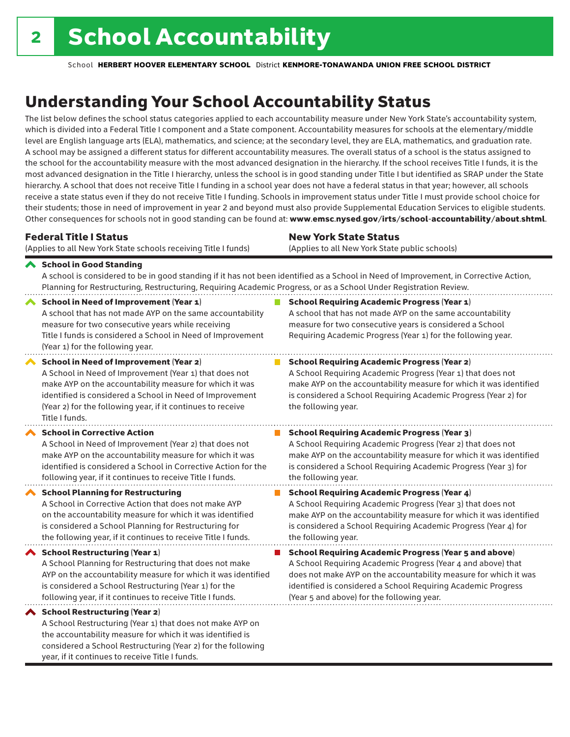## Understanding Your School Accountability Status

The list below defines the school status categories applied to each accountability measure under New York State's accountability system, which is divided into a Federal Title I component and a State component. Accountability measures for schools at the elementary/middle level are English language arts (ELA), mathematics, and science; at the secondary level, they are ELA, mathematics, and graduation rate. A school may be assigned a different status for different accountability measures. The overall status of a school is the status assigned to the school for the accountability measure with the most advanced designation in the hierarchy. If the school receives Title I funds, it is the most advanced designation in the Title I hierarchy, unless the school is in good standing under Title I but identified as SRAP under the State hierarchy. A school that does not receive Title I funding in a school year does not have a federal status in that year; however, all schools receive a state status even if they do not receive Title I funding. Schools in improvement status under Title I must provide school choice for their students; those in need of improvement in year 2 and beyond must also provide Supplemental Education Services to eligible students. Other consequences for schools not in good standing can be found at: www.emsc.nysed.gov/irts/school-accountability/about.shtml.

| <b>Federal Title I Status</b>                                                                                                                                                                                                                                                                                        | <b>New York State Status</b>                                                                                                                                                                                                                                                      |
|----------------------------------------------------------------------------------------------------------------------------------------------------------------------------------------------------------------------------------------------------------------------------------------------------------------------|-----------------------------------------------------------------------------------------------------------------------------------------------------------------------------------------------------------------------------------------------------------------------------------|
| (Applies to all New York State schools receiving Title I funds)                                                                                                                                                                                                                                                      | (Applies to all New York State public schools)                                                                                                                                                                                                                                    |
| ◆ School in Good Standing<br>Planning for Restructuring, Restructuring, Requiring Academic Progress, or as a School Under Registration Review.                                                                                                                                                                       | A school is considered to be in good standing if it has not been identified as a School in Need of Improvement, in Corrective Action,                                                                                                                                             |
| <b>School in Need of Improvement (Year 1)</b><br>A school that has not made AYP on the same accountability<br>measure for two consecutive years while receiving<br>Title I funds is considered a School in Need of Improvement<br>(Year 1) for the following year.                                                   | <b>School Requiring Academic Progress (Year 1)</b><br>A school that has not made AYP on the same accountability<br>measure for two consecutive years is considered a School<br>Requiring Academic Progress (Year 1) for the following year.                                       |
| <b>School in Need of Improvement (Year 2)</b><br>∧<br>A School in Need of Improvement (Year 1) that does not<br>make AYP on the accountability measure for which it was<br>identified is considered a School in Need of Improvement<br>(Year 2) for the following year, if it continues to receive<br>Title I funds. | <b>School Requiring Academic Progress (Year 2)</b><br>A School Requiring Academic Progress (Year 1) that does not<br>make AYP on the accountability measure for which it was identified<br>is considered a School Requiring Academic Progress (Year 2) for<br>the following year. |
| <b>School in Corrective Action</b>                                                                                                                                                                                                                                                                                   | <b>School Requiring Academic Progress (Year 3)</b>                                                                                                                                                                                                                                |
| A School in Need of Improvement (Year 2) that does not                                                                                                                                                                                                                                                               | A School Requiring Academic Progress (Year 2) that does not                                                                                                                                                                                                                       |
| make AYP on the accountability measure for which it was                                                                                                                                                                                                                                                              | make AYP on the accountability measure for which it was identified                                                                                                                                                                                                                |
| identified is considered a School in Corrective Action for the                                                                                                                                                                                                                                                       | is considered a School Requiring Academic Progress (Year 3) for                                                                                                                                                                                                                   |
| following year, if it continues to receive Title I funds.                                                                                                                                                                                                                                                            | the following year.                                                                                                                                                                                                                                                               |
| <b>School Planning for Restructuring</b>                                                                                                                                                                                                                                                                             | <b>School Requiring Academic Progress (Year 4)</b>                                                                                                                                                                                                                                |
| A School in Corrective Action that does not make AYP                                                                                                                                                                                                                                                                 | A School Requiring Academic Progress (Year 3) that does not                                                                                                                                                                                                                       |
| on the accountability measure for which it was identified                                                                                                                                                                                                                                                            | make AYP on the accountability measure for which it was identified                                                                                                                                                                                                                |
| is considered a School Planning for Restructuring for                                                                                                                                                                                                                                                                | is considered a School Requiring Academic Progress (Year 4) for                                                                                                                                                                                                                   |
| the following year, if it continues to receive Title I funds.                                                                                                                                                                                                                                                        | the following year.                                                                                                                                                                                                                                                               |
| School Restructuring (Year 1)                                                                                                                                                                                                                                                                                        | <b>School Requiring Academic Progress (Year 5 and above)</b>                                                                                                                                                                                                                      |
| A School Planning for Restructuring that does not make                                                                                                                                                                                                                                                               | A School Requiring Academic Progress (Year 4 and above) that                                                                                                                                                                                                                      |
| AYP on the accountability measure for which it was identified                                                                                                                                                                                                                                                        | does not make AYP on the accountability measure for which it was                                                                                                                                                                                                                  |
| is considered a School Restructuring (Year 1) for the                                                                                                                                                                                                                                                                | identified is considered a School Requiring Academic Progress                                                                                                                                                                                                                     |
| following year, if it continues to receive Title I funds.                                                                                                                                                                                                                                                            | (Year 5 and above) for the following year.                                                                                                                                                                                                                                        |
| School Restructuring (Year 2)<br>A School Restructuring (Year 1) that does not make AYP on<br>the accountability measure for which it was identified is                                                                                                                                                              |                                                                                                                                                                                                                                                                                   |

the accountability measure for which it was identified is considered a School Restructuring (Year 2) for the following year, if it continues to receive Title I funds.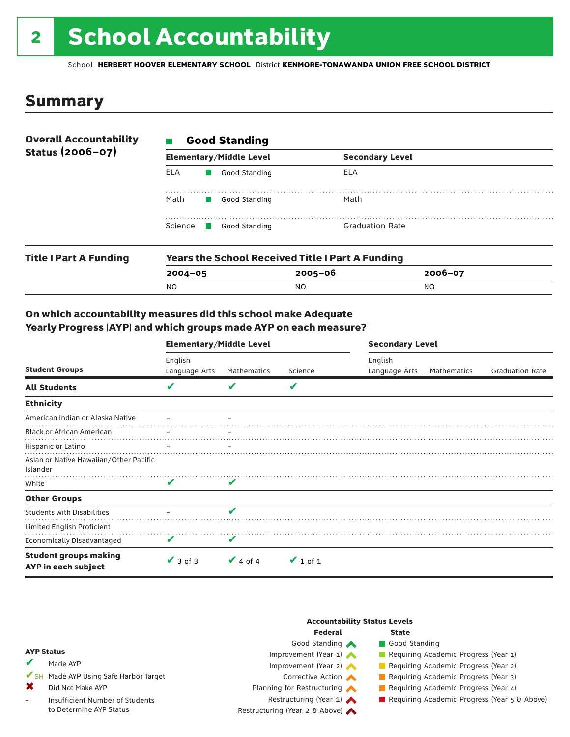# 2 School Accountability

School **HERBERT HOOVER ELEMENTARY SCHOOL** District **KENMORE-TONAWANDA UNION FREE SCHOOL DISTRICT**

### Summary

| <b>Overall Accountability</b><br>Status (2006-07) | <b>Good Standing</b> |                                                         |                        |  |  |  |
|---------------------------------------------------|----------------------|---------------------------------------------------------|------------------------|--|--|--|
|                                                   |                      | <b>Elementary/Middle Level</b>                          | <b>Secondary Level</b> |  |  |  |
|                                                   | ELA                  | Good Standing                                           | ELA                    |  |  |  |
|                                                   | Math                 | Good Standing                                           | Math                   |  |  |  |
|                                                   |                      | Science Good Standing                                   | <b>Graduation Rate</b> |  |  |  |
| <b>Title I Part A Funding</b>                     |                      | <b>Years the School Received Title I Part A Funding</b> |                        |  |  |  |

| <u>19819 1119 Senoot Needle Galling III with a fall wilding</u> |           |             |  |  |  |
|-----------------------------------------------------------------|-----------|-------------|--|--|--|
| 2004-05                                                         | 2005–06   | $2006 - 07$ |  |  |  |
| N <sub>O</sub>                                                  | <b>NO</b> | NO.         |  |  |  |
|                                                                 |           |             |  |  |  |

#### On which accountability measures did this school make Adequate Yearly Progress (AYP) and which groups made AYP on each measure?

|                                                     | <b>Elementary/Middle Level</b> |               |               | <b>Secondary Level</b>   |             |                        |
|-----------------------------------------------------|--------------------------------|---------------|---------------|--------------------------|-------------|------------------------|
| <b>Student Groups</b>                               | English<br>Language Arts       | Mathematics   | Science       | English<br>Language Arts | Mathematics | <b>Graduation Rate</b> |
| <b>All Students</b>                                 | v                              |               | V             |                          |             |                        |
| <b>Ethnicity</b>                                    |                                |               |               |                          |             |                        |
| American Indian or Alaska Native                    |                                |               |               |                          |             |                        |
| <b>Black or African American</b>                    |                                |               |               |                          |             |                        |
| Hispanic or Latino                                  |                                |               |               |                          |             |                        |
| Asian or Native Hawaiian/Other Pacific<br>Islander  |                                |               |               |                          |             |                        |
| White                                               | V                              | V             |               |                          |             |                        |
| <b>Other Groups</b>                                 |                                |               |               |                          |             |                        |
| <b>Students with Disabilities</b>                   |                                | ✔             |               |                          |             |                        |
| Limited English Proficient                          |                                |               |               |                          |             |                        |
| <b>Economically Disadvantaged</b>                   | V                              | V             |               |                          |             |                        |
| <b>Student groups making</b><br>AYP in each subject | $\vee$ 3 of 3                  | $\vee$ 4 of 4 | $\vee$ 1 of 1 |                          |             |                        |

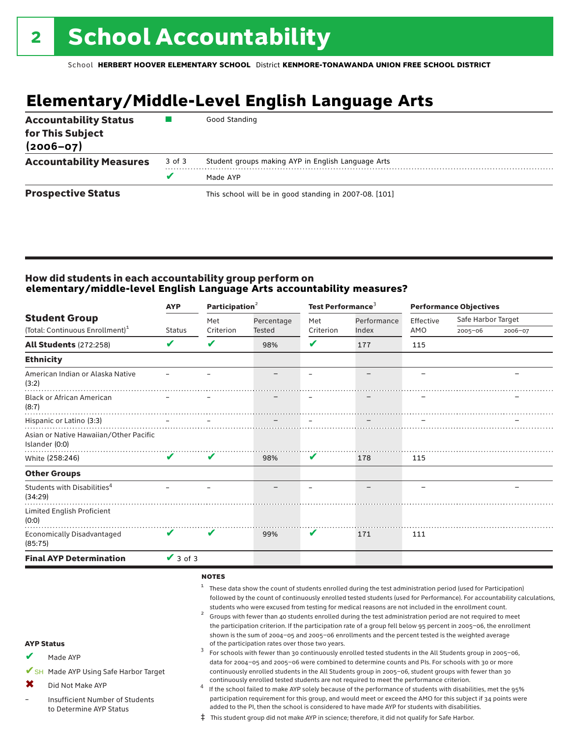## **Elementary/Middle-Level English Language Arts**

| <b>Accountability Status</b><br>for This Subject<br>$(2006 - 07)$ |        | Good Standing                                          |
|-------------------------------------------------------------------|--------|--------------------------------------------------------|
| <b>Accountability Measures</b>                                    | 3 of 3 | Student groups making AYP in English Language Arts     |
|                                                                   |        | Made AYP                                               |
| <b>Prospective Status</b>                                         |        | This school will be in good standing in 2007-08. [101] |

#### How did students in each accountability group perform on **elementary/middle-level English Language Arts accountability measures?**

|                                                          | <b>AYP</b>                 | Participation <sup>2</sup> |               | Test Performance <sup>3</sup> |             | <b>Performance Objectives</b> |                    |         |
|----------------------------------------------------------|----------------------------|----------------------------|---------------|-------------------------------|-------------|-------------------------------|--------------------|---------|
| <b>Student Group</b>                                     |                            | Met                        | Percentage    | Met                           | Performance | Effective                     | Safe Harbor Target |         |
| (Total: Continuous Enrollment) <sup>1</sup>              | Status                     | Criterion                  | <b>Tested</b> | Criterion                     | Index       | AMO                           | $2005 - 06$        | 2006-07 |
| <b>All Students (272:258)</b>                            | V                          | V                          | 98%           | V                             | 177         | 115                           |                    |         |
| <b>Ethnicity</b>                                         |                            |                            |               |                               |             |                               |                    |         |
| American Indian or Alaska Native<br>(3:2)                |                            |                            |               |                               |             |                               |                    |         |
| <b>Black or African American</b><br>(8:7)                |                            |                            |               |                               |             |                               |                    |         |
| Hispanic or Latino (3:3)                                 |                            |                            |               |                               |             |                               |                    |         |
| Asian or Native Hawaiian/Other Pacific<br>Islander (0:0) |                            |                            |               |                               |             |                               |                    |         |
| White (258:246)                                          | $\boldsymbol{\mathcal{U}}$ | $\mathbf v$                | 98%           | V                             | 178         | 115                           |                    |         |
| <b>Other Groups</b>                                      |                            |                            |               |                               |             |                               |                    |         |
| Students with Disabilities <sup>4</sup><br>(34:29)       |                            |                            |               |                               |             |                               |                    |         |
| Limited English Proficient<br>(0:0)<br>.                 |                            |                            |               |                               |             |                               |                    |         |
| Economically Disadvantaged<br>(85:75)                    | V                          | V                          | 99%           | V                             | 171         | 111                           |                    |         |
| <b>Final AYP Determination</b>                           | $\sqrt{3}$ of 3            |                            |               |                               |             |                               |                    |         |
|                                                          |                            | <b>NATEC</b>               |               |                               |             |                               |                    |         |

#### **NOTES**

✔

✖ –

- AYP Status Made AYP ✔SH Made AYP Using Safe Harbor Target Did Not Make AYP Insufficient Number of Students to Determine AYP Status <sup>1</sup> These data show the count of students enrolled during the test administration period (used for Participation) followed by the count of continuously enrolled tested students (used for Performance). For accountability calculations, students who were excused from testing for medical reasons are not included in the enrollment count.<br><sup>2</sup> Groups with fewer than 40 students enrolled during the test administration period are not required to meet the participation criterion. If the participation rate of a group fell below 95 percent in 2005–06, the enrollment shown is the sum of 2004–05 and 2005–06 enrollments and the percent tested is the weighted average<br>of the participation rates over those two years. of the participation rates over those two years. <sup>3</sup> For schools with fewer than 30 continuously enrolled tested students in the All Students group in 2005–06, data for 2004–05 and 2005–06 were combined to determine counts and PIs. For schools with 30 or more continuously enrolled students in the All Students group in 2005–06, student groups with fewer than 30 continuously enrolled tested students are not required to meet the performance criterion.<br>If the school failed to make AYP solely because of the performance of students with disabilities, met the 95% participation requirement for this group, and would meet or exceed the AMO for this subject if 34 points were added to the PI, then the school is considered to have made AYP for students with disabilities.
	- ‡ This student group did not make AYP in science; therefore, it did not qualify for Safe Harbor.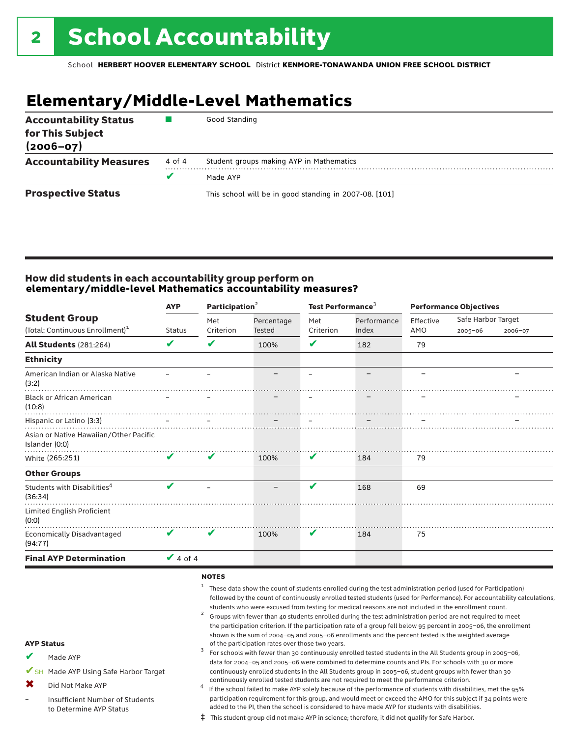## **Elementary/Middle-Level Mathematics**

| <b>Accountability Status</b><br>for This Subject<br>$(2006 - 07)$ |        | Good Standing                                          |
|-------------------------------------------------------------------|--------|--------------------------------------------------------|
| <b>Accountability Measures</b>                                    | 4 of 4 | Student groups making AYP in Mathematics               |
|                                                                   |        | Made AYP                                               |
| <b>Prospective Status</b>                                         |        | This school will be in good standing in 2007-08. [101] |

#### How did students in each accountability group perform on **elementary/middle-level Mathematics accountability measures?**

| <b>AYP</b>                 |        |            |                             |             | <b>Performance Objectives</b>          |     |                                   |
|----------------------------|--------|------------|-----------------------------|-------------|----------------------------------------|-----|-----------------------------------|
|                            | Met    | Percentage | Met                         | Performance | Effective                              |     |                                   |
|                            |        |            |                             |             |                                        |     | 2006-07                           |
| V                          | V      | 100%       | V                           | 182         | 79                                     |     |                                   |
|                            |        |            |                             |             |                                        |     |                                   |
|                            |        |            |                             |             |                                        |     |                                   |
|                            |        |            |                             |             |                                        |     |                                   |
|                            |        |            |                             |             |                                        |     |                                   |
|                            |        |            |                             |             |                                        |     |                                   |
| V                          | V      | 100%       | V                           | 184         | 79                                     |     |                                   |
|                            |        |            |                             |             |                                        |     |                                   |
| ✔                          |        |            | ✔                           | 168         | 69                                     |     |                                   |
|                            |        |            |                             |             |                                        |     |                                   |
| $\boldsymbol{\mathcal{U}}$ | ✔      | 100%       | V                           | 184         | 75                                     |     |                                   |
| $\vee$ 4 of 4              |        |            |                             |             |                                        |     |                                   |
|                            | Status | Criterion  | Participation $2$<br>Tested | Criterion   | Test Performance <sup>3</sup><br>Index | AMO | Safe Harbor Target<br>$2005 - 06$ |

#### notes

- <sup>1</sup> These data show the count of students enrolled during the test administration period (used for Participation) followed by the count of continuously enrolled tested students (used for Performance). For accountability calculations, students who were excused from testing for medical reasons are not included in the enrollment count.<br><sup>2</sup> Groups with fewer than 40 students enrolled during the test administration period are not required to meet
- the participation criterion. If the participation rate of a group fell below 95 percent in 2005–06, the enrollment shown is the sum of 2004–05 and 2005–06 enrollments and the percent tested is the weighted average<br>of the participation rates over those two years. of the participation rates over those two years. <sup>3</sup> For schools with fewer than 30 continuously enrolled tested students in the All Students group in 2005–06,
- AYP Status
- Made AYP ✔
- ✔SH Made AYP Using Safe Harbor Target
- Did Not Make AYP ✖
- Insufficient Number of Students to Determine AYP Status –
- continuously enrolled tested students are not required to meet the performance criterion.<br>If the school failed to make AYP solely because of the performance of students with disabilities, met the 95% participation requirement for this group, and would meet or exceed the AMO for this subject if 34 points were added to the PI, then the school is considered to have made AYP for students with disabilities.

data for 2004–05 and 2005–06 were combined to determine counts and PIs. For schools with 30 or more continuously enrolled students in the All Students group in 2005–06, student groups with fewer than 30

‡ This student group did not make AYP in science; therefore, it did not qualify for Safe Harbor.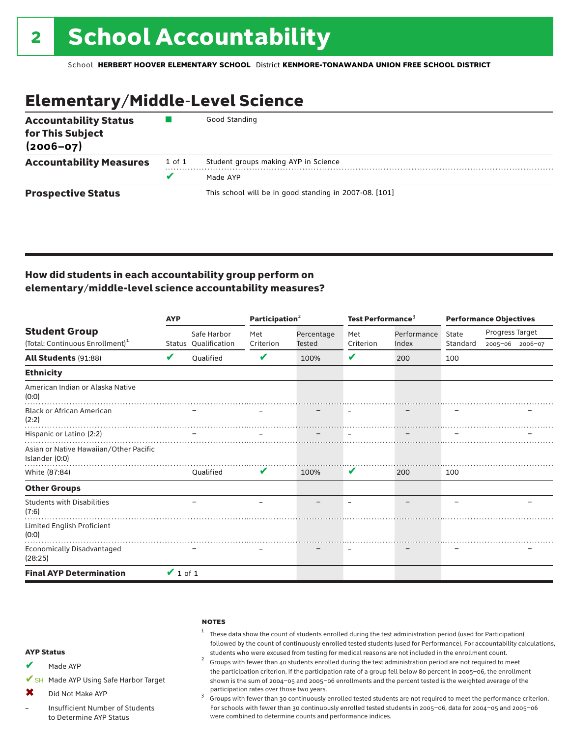## Elementary/Middle-Level Science

| <b>Accountability Status</b><br>for This Subject<br>$(2006 - 07)$ |        | Good Standing                                          |
|-------------------------------------------------------------------|--------|--------------------------------------------------------|
| <b>Accountability Measures</b>                                    | 1 of 1 | Student groups making AYP in Science                   |
|                                                                   | v      | Made AYP                                               |
| <b>Prospective Status</b>                                         |        | This school will be in good standing in 2007-08. [101] |

### How did students in each accountability group perform on elementary/middle-level science accountability measures?

|                                                          | <b>AYP</b>    |                      | Participation <sup>2</sup> |               | Test Performance <sup>3</sup> |             | <b>Performance Objectives</b> |                 |                 |
|----------------------------------------------------------|---------------|----------------------|----------------------------|---------------|-------------------------------|-------------|-------------------------------|-----------------|-----------------|
| <b>Student Group</b>                                     |               | Safe Harbor          | Met                        | Percentage    | Met                           | Performance | <b>State</b>                  | Progress Target |                 |
| (Total: Continuous Enrollment) <sup>1</sup>              |               | Status Qualification | Criterion                  | <b>Tested</b> | Criterion                     | Index       | Standard                      |                 | 2005-06 2006-07 |
| All Students (91:88)                                     | V             | Oualified            | V                          | 100%          | V                             | 200         | 100                           |                 |                 |
| <b>Ethnicity</b>                                         |               |                      |                            |               |                               |             |                               |                 |                 |
| American Indian or Alaska Native<br>(0:0)                |               |                      |                            |               |                               |             |                               |                 |                 |
| <b>Black or African American</b><br>(2:2)                |               |                      |                            |               |                               |             |                               |                 |                 |
| Hispanic or Latino (2:2)                                 |               |                      |                            |               |                               |             |                               |                 |                 |
| Asian or Native Hawaiian/Other Pacific<br>Islander (0:0) |               |                      |                            |               |                               |             |                               |                 |                 |
| White (87:84)                                            |               | Oualified            | V                          | 100%          | V                             | 200         | 100                           |                 |                 |
| <b>Other Groups</b>                                      |               |                      |                            |               |                               |             |                               |                 |                 |
| <b>Students with Disabilities</b><br>(7:6)               |               |                      |                            |               |                               |             |                               |                 |                 |
| Limited English Proficient<br>(0:0)                      |               |                      |                            |               |                               |             |                               |                 |                 |
| Economically Disadvantaged<br>(28:25)                    |               |                      |                            |               |                               |             |                               |                 |                 |
| <b>Final AYP Determination</b>                           | $\vee$ 1 of 1 |                      |                            |               |                               |             |                               |                 |                 |

#### **NOTES**

- $1$  These data show the count of students enrolled during the test administration period (used for Participation) followed by the count of continuously enrolled tested students (used for Performance). For accountability calculations,
- students who were excused from testing for medical reasons are not included in the enrollment count. <sup>2</sup> Groups with fewer than <sup>40</sup> students enrolled during the test administration period are not required to meet the participation criterion. If the participation rate of a group fell below 80 percent in 2005–06, the enrollment shown is the sum of 2004–05 and 2005–06 enrollments and the percent tested is the weighted average of the
- participation rates over those two years.<br><sup>3</sup> Groups with fewer than 30 continuously enrolled tested students are not required to meet the performance criterion. For schools with fewer than 30 continuously enrolled tested students in 2005–06, data for 2004–05 and 2005–06 were combined to determine counts and performance indices.

#### AYP Status

- Made AYP ✔
- ✔SH Made AYP Using Safe Harbor Target
- Did Not Make AYP  $\mathbf x$
- Insufficient Number of Students to Determine AYP Status –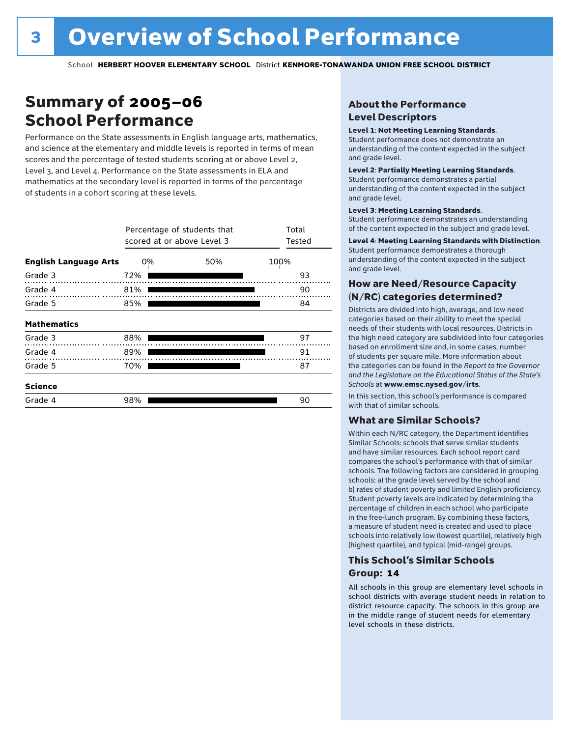### Summary of 2005–06 School Performance

Performance on the State assessments in English language arts, mathematics, and science at the elementary and middle levels is reported in terms of mean scores and the percentage of tested students scoring at or above Level 2, Level 3, and Level 4. Performance on the State assessments in ELA and mathematics at the secondary level is reported in terms of the percentage of students in a cohort scoring at these levels.

|                              |     | Percentage of students that<br>scored at or above Level 3 |      |  |  |  |  |  |
|------------------------------|-----|-----------------------------------------------------------|------|--|--|--|--|--|
| <b>English Language Arts</b> | 0%  | 50%                                                       | 100% |  |  |  |  |  |
| Grade 3                      | 72% |                                                           | 93   |  |  |  |  |  |
| Grade 4                      | 81% |                                                           | 90   |  |  |  |  |  |
| Grade 5                      | 85% |                                                           | 84   |  |  |  |  |  |
| <b>Mathematics</b>           |     |                                                           |      |  |  |  |  |  |
| Grade 3                      | 88% |                                                           | 97   |  |  |  |  |  |
| Grade 4                      | 89% |                                                           | 91   |  |  |  |  |  |
| Grade 5                      | 70% |                                                           | 87   |  |  |  |  |  |
| <b>Science</b>               |     |                                                           |      |  |  |  |  |  |
| Grade 4                      | 98% |                                                           | 90   |  |  |  |  |  |

### About the Performance Level Descriptors

#### Level 1: Not Meeting Learning Standards.

Student performance does not demonstrate an understanding of the content expected in the subject and grade level.

#### Level 2: Partially Meeting Learning Standards.

Student performance demonstrates a partial understanding of the content expected in the subject and grade level.

#### Level 3: Meeting Learning Standards.

Student performance demonstrates an understanding of the content expected in the subject and grade level.

#### Level 4: Meeting Learning Standards with Distinction.

Student performance demonstrates a thorough understanding of the content expected in the subject and grade level.

#### How are Need/Resource Capacity (N/RC) categories determined?

Districts are divided into high, average, and low need categories based on their ability to meet the special needs of their students with local resources. Districts in the high need category are subdivided into four categories based on enrollment size and, in some cases, number of students per square mile. More information about the categories can be found in the *Report to the Governor and the Legislature on the Educational Status of the State's Schools* at www.emsc.nysed.gov/irts.

In this section, this school's performance is compared with that of similar schools.

#### What are Similar Schools?

Within each N/RC category, the Department identifies Similar Schools: schools that serve similar students and have similar resources. Each school report card compares the school's performance with that of similar schools. The following factors are considered in grouping schools: a) the grade level served by the school and b) rates of student poverty and limited English proficiency. Student poverty levels are indicated by determining the percentage of children in each school who participate in the free-lunch program. By combining these factors, a measure of student need is created and used to place schools into relatively low (lowest quartile), relatively high (highest quartile), and typical (mid-range) groups.

#### This School's Similar Schools Group: **14**

All schools in this group are elementary level schools in school districts with average student needs in relation to district resource capacity. The schools in this group are in the middle range of student needs for elementary level schools in these districts.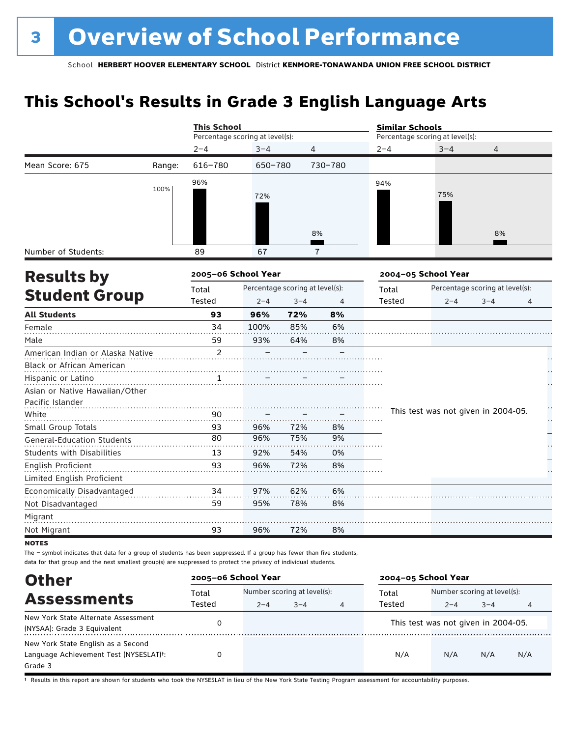### **This School's Results in Grade 3 English Language Arts**

|                                   |        | <b>This School</b>              |         |                                 |         | <b>Similar Schools</b> |                                     |                                 |    |
|-----------------------------------|--------|---------------------------------|---------|---------------------------------|---------|------------------------|-------------------------------------|---------------------------------|----|
|                                   |        | Percentage scoring at level(s): |         |                                 |         |                        | Percentage scoring at level(s):     |                                 |    |
|                                   |        | $2 - 4$                         | $3 - 4$ | $\overline{4}$                  |         | $2 - 4$                | $3 - 4$                             | 4                               |    |
| Mean Score: 675                   | Range: | 616-780                         | 650-780 |                                 | 730-780 |                        |                                     |                                 |    |
|                                   | 100%   | 96%                             |         |                                 |         | 94%                    |                                     |                                 |    |
|                                   |        |                                 | 72%     |                                 |         |                        | 75%                                 |                                 |    |
|                                   |        |                                 |         |                                 |         |                        |                                     |                                 |    |
|                                   |        |                                 |         |                                 |         |                        |                                     |                                 |    |
|                                   |        |                                 |         |                                 | 8%      |                        |                                     | 8%                              |    |
| Number of Students:               |        | 89                              | 67      |                                 | 7       |                        |                                     |                                 |    |
| <b>Results by</b>                 |        | 2005-06 School Year             |         |                                 |         |                        | 2004-05 School Year                 |                                 |    |
|                                   |        | Total                           |         | Percentage scoring at level(s): |         | Total                  |                                     | Percentage scoring at level(s): |    |
| <b>Student Group</b>              |        | Tested                          | $2 - 4$ | $3 - 4$                         | 4       | Tested                 | $2 - 4$                             | $3 - 4$                         | 4  |
| <b>All Students</b>               |        | 93                              | 96%     | 72%                             | 8%      |                        |                                     |                                 |    |
| Female                            |        | 34                              | 100%    | 85%                             | 6%      |                        |                                     |                                 |    |
| Male                              |        | 59                              | 93%     | 64%                             | 8%      |                        |                                     |                                 |    |
| American Indian or Alaska Native  |        | $\overline{c}$                  |         |                                 |         |                        |                                     |                                 |    |
| Black or African American         |        |                                 |         |                                 |         |                        |                                     |                                 |    |
| Hispanic or Latino                |        | 1                               |         |                                 |         |                        |                                     |                                 |    |
| Asian or Native Hawaiian/Other    |        |                                 |         |                                 |         |                        |                                     |                                 |    |
| Pacific Islander                  |        |                                 |         |                                 |         |                        |                                     |                                 | ŀ, |
| White                             |        | 90                              |         |                                 |         |                        | This test was not given in 2004-05. |                                 | Н, |
| Small Group Totals                |        | 93                              | 96%     | 72%                             | 8%      |                        |                                     |                                 |    |
| <b>General-Education Students</b> |        | 80                              | 96%     | 75%                             | 9%      |                        |                                     |                                 |    |
| <b>Students with Disabilities</b> |        | 13                              | 92%     | 54%                             | 0%      |                        |                                     |                                 |    |
| English Proficient                |        | 93                              | 96%     | 72%                             | 8%      |                        |                                     |                                 |    |
| Limited English Proficient        |        |                                 |         |                                 |         |                        |                                     |                                 |    |
| Economically Disadvantaged        |        | 34                              | 97%     | 62%                             | 6%      |                        |                                     |                                 |    |
| Not Disadvantaged                 |        | 59                              | 95%     | 78%                             | 8%      |                        |                                     |                                 |    |
| Migrant                           |        |                                 |         |                                 |         |                        |                                     |                                 |    |
| Not Migrant                       |        | 93                              | 96%     | 72%                             | 8%      |                        |                                     |                                 |    |
| <b>NOTES</b>                      |        |                                 |         |                                 |         |                        |                                     |                                 |    |

The – symbol indicates that data for a group of students has been suppressed. If a group has fewer than five students,

data for that group and the next smallest group(s) are suppressed to protect the privacy of individual students.

| <b>Other</b>                           | 2005-06 School Year |         |                             |   | 2004-05 School Year |                                     |         |     |
|----------------------------------------|---------------------|---------|-----------------------------|---|---------------------|-------------------------------------|---------|-----|
| <b>Assessments</b>                     | Total               |         | Number scoring at level(s): |   | Total               | Number scoring at level(s):         |         |     |
|                                        | Tested              | $2 - 4$ | $3 - 4$                     | 4 | Tested              | $2 - 4$                             | $3 - 4$ | 4   |
| New York State Alternate Assessment    |                     |         |                             |   |                     | This test was not given in 2004-05. |         |     |
| (NYSAA): Grade 3 Equivalent            |                     |         |                             |   |                     |                                     |         |     |
| New York State English as a Second     |                     |         |                             |   |                     |                                     |         |     |
| Language Achievement Test (NYSESLAT)t: |                     |         |                             |   | N/A                 | N/A                                 | N/A     | N/A |
| Grade 3                                |                     |         |                             |   |                     |                                     |         |     |

† Results in this report are shown for students who took the NYSESLAT in lieu of the New York State Testing Program assessment for accountability purposes.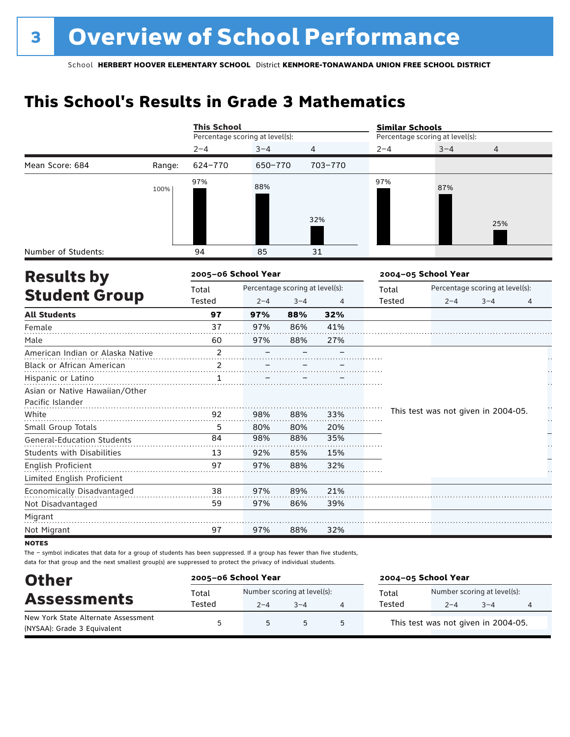### **This School's Results in Grade 3 Mathematics**

|                                                    |        | <b>This School</b>              |                                 |            |                | <b>Similar Schools</b> |                                     |                                 |   |  |  |
|----------------------------------------------------|--------|---------------------------------|---------------------------------|------------|----------------|------------------------|-------------------------------------|---------------------------------|---|--|--|
|                                                    |        | Percentage scoring at level(s): |                                 |            |                |                        | Percentage scoring at level(s):     |                                 |   |  |  |
|                                                    |        | $2 - 4$                         | $3 - 4$                         |            | 4              | $2 - 4$                | $3 - 4$                             | 4                               |   |  |  |
| Mean Score: 684                                    | Range: | 624-770                         | 650-770                         |            | 703-770        |                        |                                     |                                 |   |  |  |
|                                                    | 100%   | 97%                             | 88%                             |            | 32%            | 97%                    | 87%                                 |                                 |   |  |  |
|                                                    |        |                                 |                                 |            |                |                        |                                     | 25%                             |   |  |  |
| Number of Students:                                |        | 94                              | 85                              |            | 31             |                        |                                     |                                 |   |  |  |
| <b>Results by</b>                                  |        | 2005-06 School Year             |                                 |            |                |                        | 2004-05 School Year                 |                                 |   |  |  |
|                                                    |        | Total                           | Percentage scoring at level(s): |            |                | Total                  |                                     | Percentage scoring at level(s): |   |  |  |
| <b>Student Group</b>                               |        | Tested                          | $2 - 4$                         | $3 - 4$    | $\overline{4}$ | Tested                 | $2 - 4$                             | $3 - 4$                         | 4 |  |  |
| <b>All Students</b>                                |        | 97                              | 97%                             | 88%        | 32%            |                        |                                     |                                 |   |  |  |
| Female                                             |        | 37                              | 97%                             | 86%        | 41%            |                        |                                     |                                 |   |  |  |
| Male                                               |        | 60                              | 97%                             | 88%        | 27%            |                        |                                     |                                 |   |  |  |
| American Indian or Alaska Native                   |        | 2                               |                                 |            |                |                        |                                     |                                 |   |  |  |
| <b>Black or African American</b>                   |        | 2                               |                                 |            |                |                        |                                     |                                 |   |  |  |
| Hispanic or Latino                                 |        | $\mathbf{1}$                    |                                 |            |                |                        |                                     |                                 |   |  |  |
| Asian or Native Hawaiian/Other<br>Pacific Islander |        |                                 |                                 |            |                |                        |                                     |                                 |   |  |  |
| White                                              |        | 92                              | 98%                             | 88%        | 33%            |                        | This test was not given in 2004-05. |                                 |   |  |  |
| Small Group Totals                                 |        | 5                               | 80%                             | 80%        | 20%            |                        |                                     |                                 |   |  |  |
| <b>General-Education Students</b>                  |        | 84                              | 98%                             | 88%        | 35%            |                        |                                     |                                 |   |  |  |
| <b>Students with Disabilities</b>                  |        | 13                              | 92%                             | 85%        | 15%            |                        |                                     |                                 |   |  |  |
| English Proficient                                 |        | 97                              | 97%                             | 88%        | 32%            |                        |                                     |                                 |   |  |  |
| Limited English Proficient                         |        |                                 |                                 |            |                |                        |                                     |                                 |   |  |  |
| Economically Disadvantaged                         |        | 38<br>59                        | 97%<br>97%                      | 89%<br>86% | 21%<br>39%     |                        |                                     |                                 |   |  |  |
| Not Disadvantaged                                  |        |                                 |                                 |            |                |                        |                                     |                                 |   |  |  |
| Migrant                                            |        |                                 |                                 | 88%        |                |                        |                                     |                                 |   |  |  |
| Not Migrant                                        |        | 97                              | 97%                             |            | 32%            |                        |                                     |                                 |   |  |  |

**NOTES** 

The – symbol indicates that data for a group of students has been suppressed. If a group has fewer than five students, data for that group and the next smallest group(s) are suppressed to protect the privacy of individual students.

| <b>Other</b>                        | 2005-06 School Year |                             |         |   | 2004-05 School Year |                                     |         |   |  |
|-------------------------------------|---------------------|-----------------------------|---------|---|---------------------|-------------------------------------|---------|---|--|
|                                     | Total               | Number scoring at level(s): |         |   | Total               | Number scoring at level(s):         |         |   |  |
| <b>Assessments</b>                  | Tested              | $2 - 4$                     | $3 - 4$ |   | Tested              | $2 - 4$                             | $3 - 4$ | 4 |  |
| New York State Alternate Assessment |                     | 5                           | 5       | 5 |                     | This test was not given in 2004-05. |         |   |  |
| (NYSAA): Grade 3 Equivalent         |                     |                             |         |   |                     |                                     |         |   |  |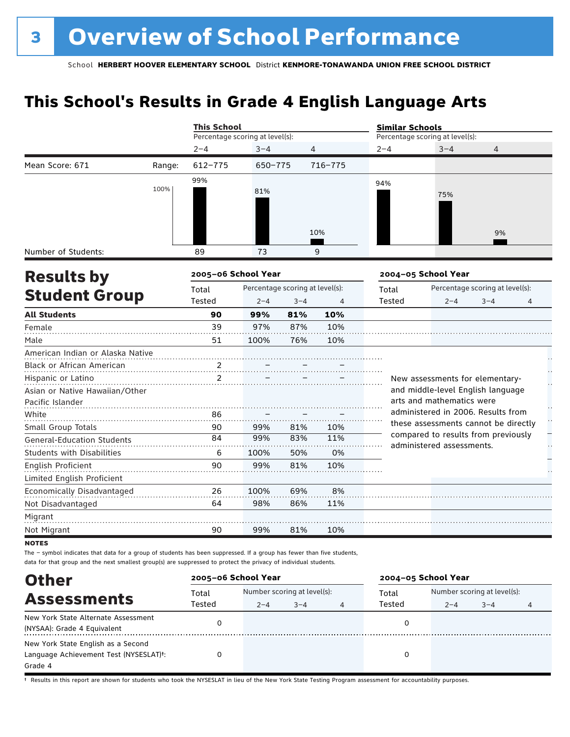### **This School's Results in Grade 4 English Language Arts**

|                                   |        | <b>This School</b>              |         |                                 |                | <b>Similar Schools</b> |                                                                  |                                 |   |  |  |
|-----------------------------------|--------|---------------------------------|---------|---------------------------------|----------------|------------------------|------------------------------------------------------------------|---------------------------------|---|--|--|
|                                   |        | Percentage scoring at level(s): |         |                                 |                |                        | Percentage scoring at level(s):                                  |                                 |   |  |  |
|                                   |        | $2 - 4$                         | $3 - 4$ | 4                               |                | $2 - 4$                | $3 - 4$                                                          | 4                               |   |  |  |
| Mean Score: 671                   | Range: | $612 - 775$                     | 650-775 |                                 | 716-775        |                        |                                                                  |                                 |   |  |  |
|                                   | 100%   | 99%                             | 81%     |                                 |                | 94%                    |                                                                  |                                 |   |  |  |
|                                   |        |                                 |         |                                 | 10%            |                        | 75%                                                              | 9%                              |   |  |  |
| Number of Students:               |        | 89                              | 73      |                                 | 9              |                        |                                                                  |                                 |   |  |  |
| <b>Results by</b>                 |        | 2005-06 School Year             |         |                                 |                |                        | 2004-05 School Year                                              |                                 |   |  |  |
|                                   |        | Total                           |         | Percentage scoring at level(s): |                |                        |                                                                  | Percentage scoring at level(s): |   |  |  |
| <b>Student Group</b>              |        | Tested                          | $2 - 4$ | $3 - 4$                         | $\overline{4}$ | Tested                 | $2 - 4$                                                          | $3 - 4$                         | 4 |  |  |
| <b>All Students</b>               |        | 90                              | 99%     | 81%                             | 10%            |                        |                                                                  |                                 |   |  |  |
| Female                            |        | 39                              | 97%     | 87%                             | 10%            |                        |                                                                  |                                 |   |  |  |
| Male                              |        | 51                              | 100%    | 76%                             | 10%            |                        |                                                                  |                                 |   |  |  |
| American Indian or Alaska Native  |        |                                 |         |                                 |                |                        |                                                                  |                                 |   |  |  |
| Black or African American         |        | $\frac{2}{\cdots}$              |         |                                 |                |                        |                                                                  |                                 |   |  |  |
| Hispanic or Latino                |        | $\overline{2}$                  |         |                                 |                |                        | New assessments for elementary-                                  |                                 |   |  |  |
| Asian or Native Hawaiian/Other    |        |                                 |         |                                 |                |                        | and middle-level English language                                |                                 |   |  |  |
| Pacific Islander                  |        |                                 |         |                                 |                |                        | arts and mathematics were                                        |                                 |   |  |  |
| White                             |        | 86                              |         |                                 |                |                        | administered in 2006. Results from                               |                                 |   |  |  |
| Small Group Totals                |        | 90                              | 99%     | 81%                             | 10%            |                        | these assessments cannot be directly                             |                                 |   |  |  |
| <b>General-Education Students</b> |        | 84                              | 99%     | 83%                             | 11%            |                        | compared to results from previously<br>administered assessments. |                                 |   |  |  |
| <b>Students with Disabilities</b> |        | 6                               | 100%    | 50%                             | 0%             |                        |                                                                  |                                 |   |  |  |
| English Proficient                |        | 90                              | 99%     | 81%                             | 10%            |                        |                                                                  |                                 |   |  |  |
| Limited English Proficient        |        |                                 |         |                                 |                |                        |                                                                  |                                 |   |  |  |
| Economically Disadvantaged        |        | 26                              | 100%    | 69%                             | 8%             |                        |                                                                  |                                 |   |  |  |
| Not Disadvantaged                 |        | 64                              | 98%     | 86%                             | 11%            |                        |                                                                  |                                 |   |  |  |
| Migrant                           |        |                                 |         |                                 |                |                        |                                                                  |                                 |   |  |  |
| Not Migrant                       |        | 90                              | 99%     | 81%                             | 10%            |                        |                                                                  |                                 |   |  |  |
| <b>NOTES</b>                      |        |                                 |         |                                 |                |                        |                                                                  |                                 |   |  |  |

The – symbol indicates that data for a group of students has been suppressed. If a group has fewer than five students, data for that group and the next smallest group(s) are suppressed to protect the privacy of individual students.

| <b>Other</b>                                                                            | 2005-06 School Year |         |                                        |   | 2004-05 School Year |         |                                             |  |  |
|-----------------------------------------------------------------------------------------|---------------------|---------|----------------------------------------|---|---------------------|---------|---------------------------------------------|--|--|
| <b>Assessments</b>                                                                      | Total<br>Tested     | $2 - 4$ | Number scoring at level(s):<br>$3 - 4$ | 4 | Total<br>Tested     | $2 - 4$ | Number scoring at level(s):<br>$3 - 4$<br>4 |  |  |
| New York State Alternate Assessment<br>(NYSAA): Grade 4 Equivalent                      |                     |         |                                        |   |                     |         |                                             |  |  |
| New York State English as a Second<br>Language Achievement Test (NYSESLAT)t:<br>Grade 4 |                     |         |                                        |   | 0                   |         |                                             |  |  |

† Results in this report are shown for students who took the NYSESLAT in lieu of the New York State Testing Program assessment for accountability purposes.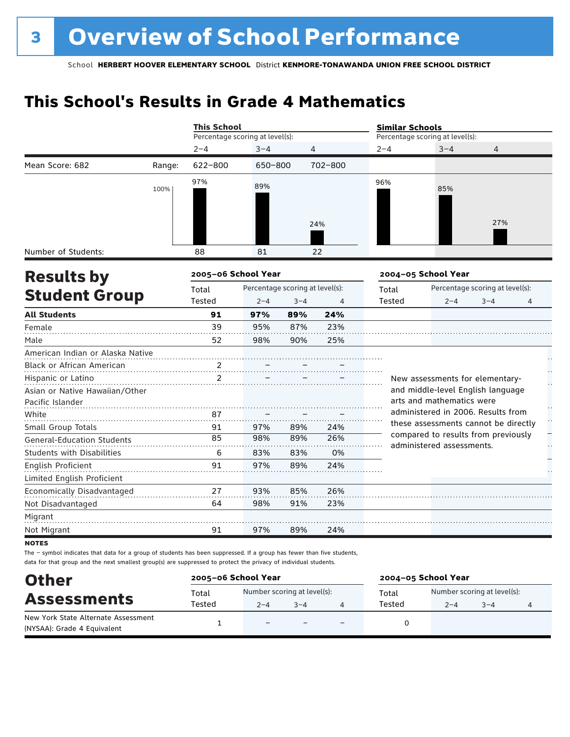### **This School's Results in Grade 4 Mathematics**

|                                   |        | <b>This School</b>              |                                 |         |         | <b>Similar Schools</b> |                                                                 |                                 |    |
|-----------------------------------|--------|---------------------------------|---------------------------------|---------|---------|------------------------|-----------------------------------------------------------------|---------------------------------|----|
|                                   |        | Percentage scoring at level(s): |                                 |         |         |                        | Percentage scoring at level(s):                                 |                                 |    |
|                                   |        | $2 - 4$                         | $3 - 4$                         |         | 4       | $2 - 4$                | $3 - 4$                                                         | 4                               |    |
| Mean Score: 682                   | Range: | $622 - 800$                     | 650-800                         |         | 702-800 |                        |                                                                 |                                 |    |
|                                   | 100%   | 97%                             | 89%                             |         | 24%     | 96%                    | 85%                                                             | 27%                             |    |
| Number of Students:               |        | 88                              | 81                              |         | 22      |                        |                                                                 |                                 |    |
| <b>Results by</b>                 |        | 2005-06 School Year             |                                 |         |         |                        | 2004-05 School Year                                             |                                 |    |
|                                   |        | Total                           | Percentage scoring at level(s): |         |         | Total                  |                                                                 | Percentage scoring at level(s): |    |
| <b>Student Group</b>              |        | Tested                          | $2 - 4$                         | $3 - 4$ | 4       | <b>Tested</b>          | $2 - 4$                                                         | $3 - 4$                         | 4  |
| <b>All Students</b>               |        | 91                              | 97%                             | 89%     | 24%     |                        |                                                                 |                                 |    |
| Female                            |        | 39                              | 95%                             | 87%     | 23%     |                        |                                                                 |                                 |    |
| Male                              |        | 52                              | 98%                             | 90%     | 25%     |                        |                                                                 |                                 |    |
| American Indian or Alaska Native  |        |                                 |                                 |         |         |                        |                                                                 |                                 |    |
| Black or African American         |        | 2                               |                                 |         |         |                        |                                                                 |                                 |    |
| Hispanic or Latino                |        | 2                               |                                 |         |         |                        | New assessments for elementary-                                 |                                 |    |
| Asian or Native Hawaiian/Other    |        |                                 |                                 |         |         |                        | and middle-level English language                               |                                 |    |
| Pacific Islander                  |        |                                 |                                 |         |         |                        | arts and mathematics were<br>administered in 2006. Results from |                                 |    |
| White                             |        | 87                              |                                 |         |         |                        | these assessments cannot be directly                            |                                 | H  |
| Small Group Totals                |        | 91                              | 97%                             | 89%     | 24%     |                        | compared to results from previously                             |                                 |    |
| <b>General-Education Students</b> |        | 85                              | 98%                             | 89%     | 26%     |                        | administered assessments.                                       |                                 | μ, |
| <b>Students with Disabilities</b> |        | 6                               | 83%                             | 83%     | 0%      |                        |                                                                 |                                 |    |
| English Proficient                |        | 91                              | 97%                             | 89%     | 24%     |                        |                                                                 |                                 |    |
| Limited English Proficient        |        |                                 |                                 |         |         |                        |                                                                 |                                 |    |
| Economically Disadvantaged        |        | 27                              | 93%                             | 85%     | 26%     |                        |                                                                 |                                 |    |
| Not Disadvantaged                 |        | 64                              | 98%                             | 91%     | 23%     |                        |                                                                 |                                 |    |
| Migrant                           |        |                                 |                                 |         |         |                        |                                                                 |                                 |    |
| Not Migrant                       |        | 91                              | 97%                             | 89%     | 24%     |                        |                                                                 |                                 |    |

**NOTES** 

The – symbol indicates that data for a group of students has been suppressed. If a group has fewer than five students, data for that group and the next smallest group(s) are suppressed to protect the privacy of individual students.

| <b>Other</b>                                                       | 2005-06 School Year |                                        |         | 2004-05 School Year |                                        |         |  |  |
|--------------------------------------------------------------------|---------------------|----------------------------------------|---------|---------------------|----------------------------------------|---------|--|--|
| <b>Assessments</b>                                                 | Total<br>Tested     | Number scoring at level(s):<br>$2 - 4$ | $3 - 4$ | Total<br>Tested     | Number scoring at level(s):<br>$2 - 4$ | $3 - 4$ |  |  |
| New York State Alternate Assessment<br>(NYSAA): Grade 4 Equivalent |                     | $\overline{\phantom{0}}$               |         |                     |                                        |         |  |  |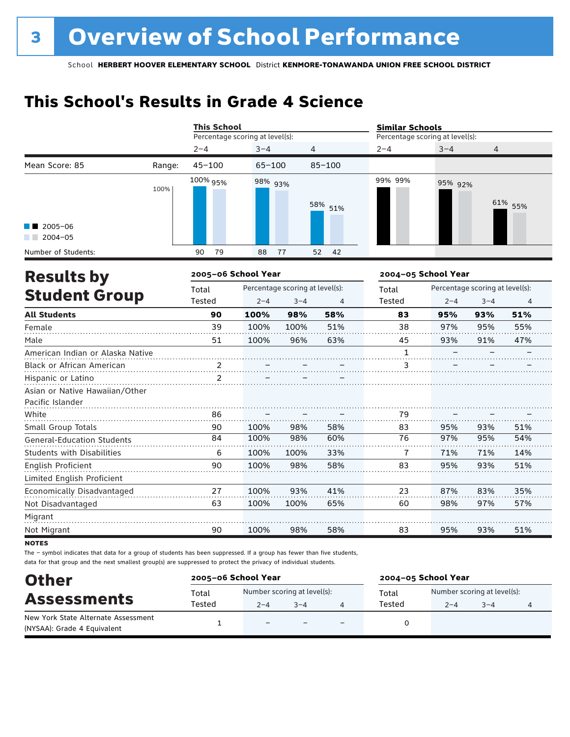## **This School's Results in Grade 4 Science**

|                                                    |                     | <b>This School</b>              |            |                                 |                | <b>Similar Schools</b>          |         |                                 |         |  |
|----------------------------------------------------|---------------------|---------------------------------|------------|---------------------------------|----------------|---------------------------------|---------|---------------------------------|---------|--|
|                                                    |                     | Percentage scoring at level(s): |            |                                 |                | Percentage scoring at level(s): |         |                                 |         |  |
|                                                    |                     | $2 - 4$                         | $3 - 4$    |                                 | 4              | $2 - 4$                         | $3 - 4$ | 4                               |         |  |
| Mean Score: 85                                     | Range:              | $45 - 100$                      | $65 - 100$ |                                 | $85 - 100$     |                                 |         |                                 |         |  |
|                                                    | 100%                | 100% 95%                        | 98% 93%    |                                 | 58% 51%        | 99% 99%                         | 95% 92% |                                 | 61% 55% |  |
| $2005 - 06$<br>$2004 - 05$                         |                     |                                 |            |                                 |                |                                 |         |                                 |         |  |
| Number of Students:                                |                     | 90<br>79                        | 88         | 77                              | 52<br>42       |                                 |         |                                 |         |  |
| <b>Results by</b>                                  | 2005-06 School Year |                                 |            |                                 |                | 2004-05 School Year             |         |                                 |         |  |
|                                                    |                     | Total                           |            | Percentage scoring at level(s): |                | Total                           |         | Percentage scoring at level(s): |         |  |
| <b>Student Group</b>                               |                     | Tested                          | $2 - 4$    | $3 - 4$                         | $\overline{4}$ | Tested                          | $2 - 4$ | $3 - 4$                         | 4       |  |
| <b>All Students</b>                                |                     | 90                              | 100%       | 98%                             | 58%            | 83                              | 95%     | 93%                             | 51%     |  |
| Female                                             |                     | 39                              | 100%       | 100%                            | 51%            | 38                              | 97%     | 95%                             | 55%     |  |
| Male                                               |                     | 51                              | 100%       | 96%                             | 63%            | 45                              | 93%     | 91%                             | 47%     |  |
| American Indian or Alaska Native                   |                     |                                 |            |                                 |                | $\mathbf{1}$                    |         |                                 |         |  |
| Black or African American                          |                     | $\ldots$ $\frac{2}{2}$          |            |                                 |                | 3                               |         |                                 |         |  |
| Hispanic or Latino                                 |                     | 2                               |            |                                 |                |                                 |         |                                 |         |  |
| Asian or Native Hawaiian/Other<br>Pacific Islander |                     |                                 |            |                                 |                |                                 |         |                                 |         |  |
| White                                              |                     | 86                              |            |                                 |                | 79                              |         |                                 |         |  |
| Small Group Totals                                 |                     | 90                              | 100%       | 98%                             | 58%            | 83                              | 95%     | 93%                             | 51%     |  |
| <b>General-Education Students</b>                  |                     | 84                              | 100%       | 98%                             | 60%            | 76                              | 97%     | 95%                             | 54%     |  |
| <b>Students with Disabilities</b>                  |                     | 6                               | 100%       | 100%                            | 33%            | 7                               | 71%     | 71%                             | 14%     |  |
| English Proficient                                 |                     | 90                              | 100%       | 98%                             | 58%            | 83                              | 95%     | 93%                             | 51%     |  |
| Limited English Proficient                         |                     |                                 |            |                                 |                |                                 |         |                                 |         |  |
| Economically Disadvantaged                         |                     | 27                              | 100%       | 93%                             | 41%            | 23                              | 87%     | 83%                             | 35%     |  |
| Not Disadvantaged                                  |                     | 63                              | 100%       | 100%                            | 65%            | 60                              | 98%     | 97%                             | 57%     |  |
| Migrant                                            |                     |                                 |            |                                 |                |                                 |         |                                 |         |  |
| Not Migrant                                        |                     | 90                              | 100%       | 98%                             | 58%            | 83                              | 95%     | 93%                             | 51%     |  |

**NOTES** 

The – symbol indicates that data for a group of students has been suppressed. If a group has fewer than five students, data for that group and the next smallest group(s) are suppressed to protect the privacy of individual students.

| <b>Other</b>                                                       |                 | 2005-06 School Year<br>2004-05 School Year |         |                          |                                                                  |  |  |  |
|--------------------------------------------------------------------|-----------------|--------------------------------------------|---------|--------------------------|------------------------------------------------------------------|--|--|--|
| <b>Assessments</b>                                                 | Total<br>Tested | Number scoring at level(s):<br>$2 - 4$     | $3 - 4$ |                          | Number scoring at level(s):<br>Total<br>Tested<br>$3 - 4$<br>2–4 |  |  |  |
| New York State Alternate Assessment<br>(NYSAA): Grade 4 Equivalent |                 | $\overline{\phantom{0}}$                   |         | $\overline{\phantom{0}}$ |                                                                  |  |  |  |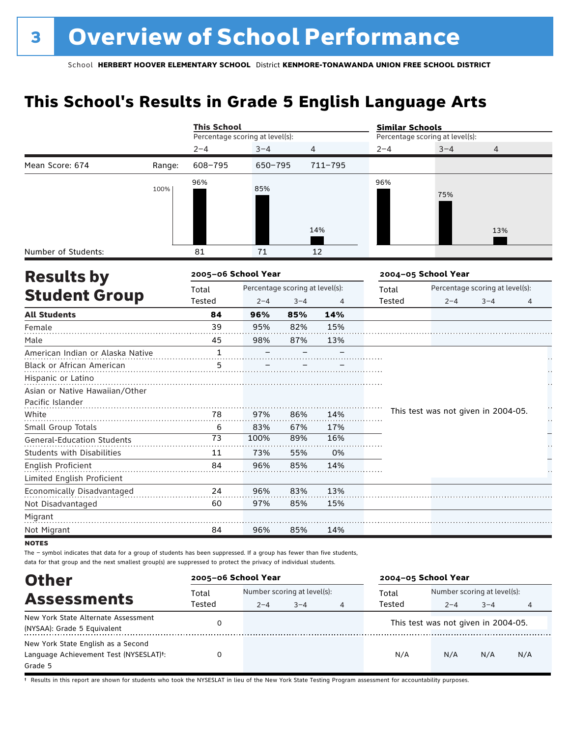### **This School's Results in Grade 5 English Language Arts**

|                                                                          |        | <b>This School</b>              |         |         |         | <b>Similar Schools</b>          |                     |                                                       |         |  |
|--------------------------------------------------------------------------|--------|---------------------------------|---------|---------|---------|---------------------------------|---------------------|-------------------------------------------------------|---------|--|
|                                                                          |        | Percentage scoring at level(s): |         |         |         | Percentage scoring at level(s): |                     |                                                       |         |  |
|                                                                          |        | $2 - 4$                         | $3 - 4$ | 4       |         | $2 - 4$                         | $3 - 4$             | 4                                                     |         |  |
| Mean Score: 674                                                          | Range: | 608-795                         | 650-795 |         | 711-795 |                                 |                     | 13%<br>$3 - 4$<br>This test was not given in 2004-05. |         |  |
|                                                                          | 100%   | 96%                             | 85%     |         | 14%     | 96%                             | 75%                 |                                                       |         |  |
| Number of Students:                                                      |        | 81                              | 71      |         | 12      |                                 |                     |                                                       |         |  |
| <b>Results by</b>                                                        |        | 2005-06 School Year             |         |         |         |                                 | 2004-05 School Year |                                                       |         |  |
|                                                                          | Total  | Percentage scoring at level(s): |         |         | Total   | Percentage scoring at level(s): |                     |                                                       |         |  |
| <b>Student Group</b>                                                     |        | Tested                          | $2 - 4$ | $3 - 4$ | 4       | Tested                          | $2 - 4$             |                                                       | 4       |  |
| <b>All Students</b>                                                      |        | 84                              | 96%     | 85%     | 14%     |                                 |                     |                                                       |         |  |
| Female                                                                   |        | 39                              | 95%     | 82%     | 15%     |                                 |                     |                                                       |         |  |
| Male                                                                     |        | 45                              | 98%     | 87%     | 13%     |                                 |                     |                                                       |         |  |
| American Indian or Alaska Native                                         |        | 1                               |         |         |         |                                 |                     |                                                       |         |  |
| Black or African American                                                |        | 5                               |         |         |         |                                 |                     |                                                       |         |  |
| Hispanic or Latino<br>Asian or Native Hawaiian/Other<br>Pacific Islander |        |                                 |         |         |         |                                 |                     |                                                       |         |  |
| White                                                                    |        | 78                              | 97%     | 86%     | 14%     |                                 |                     |                                                       | H<br>μ, |  |
| Small Group Totals                                                       |        | 6                               | 83%     | 67%     | 17%     |                                 |                     |                                                       |         |  |
| <b>General-Education Students</b>                                        |        | 73                              | 100%    | 89%     | 16%     |                                 |                     |                                                       |         |  |
| <b>Students with Disabilities</b>                                        |        | 11                              | 73%     | 55%     | 0%      |                                 |                     |                                                       |         |  |
| <b>English Proficient</b>                                                |        | 84                              | 96%     | 85%     | 14%     |                                 |                     |                                                       |         |  |
| Limited English Proficient                                               |        |                                 |         |         |         |                                 |                     |                                                       |         |  |
| Economically Disadvantaged                                               |        | 24                              | 96%     | 83%     | 13%     |                                 |                     |                                                       |         |  |
| Not Disadvantaged                                                        |        | 60                              | 97%     | 85%     | 15%     |                                 |                     |                                                       |         |  |
| Migrant                                                                  |        |                                 |         |         |         |                                 |                     |                                                       |         |  |
| Not Migrant                                                              |        | 84                              | 96%     | 85%     | 14%     |                                 |                     |                                                       |         |  |
| <b>NOTEC</b>                                                             |        |                                 |         |         |         |                                 |                     |                                                       |         |  |

 $NO$ 

The – symbol indicates that data for a group of students has been suppressed. If a group has fewer than five students, data for that group and the next smallest group(s) are suppressed to protect the privacy of individual students.

| <b>Other</b>                                                                                         | 2005-06 School Year |         |                                        |   | 2004-05 School Year |                                     |                                             |     |  |
|------------------------------------------------------------------------------------------------------|---------------------|---------|----------------------------------------|---|---------------------|-------------------------------------|---------------------------------------------|-----|--|
| <b>Assessments</b>                                                                                   | Total<br>Tested     | $2 - 4$ | Number scoring at level(s):<br>$3 - 4$ | 4 | Total<br>Tested     | $2 - 4$                             | Number scoring at level(s):<br>$3 - 4$<br>4 |     |  |
| New York State Alternate Assessment<br>(NYSAA): Grade 5 Equivalent                                   |                     |         |                                        |   |                     | This test was not given in 2004-05. |                                             |     |  |
| New York State English as a Second<br>Language Achievement Test (NYSESLAT) <sup>+</sup> :<br>Grade 5 |                     |         |                                        |   | N/A                 | N/A                                 | N/A                                         | N/A |  |

† Results in this report are shown for students who took the NYSESLAT in lieu of the New York State Testing Program assessment for accountability purposes.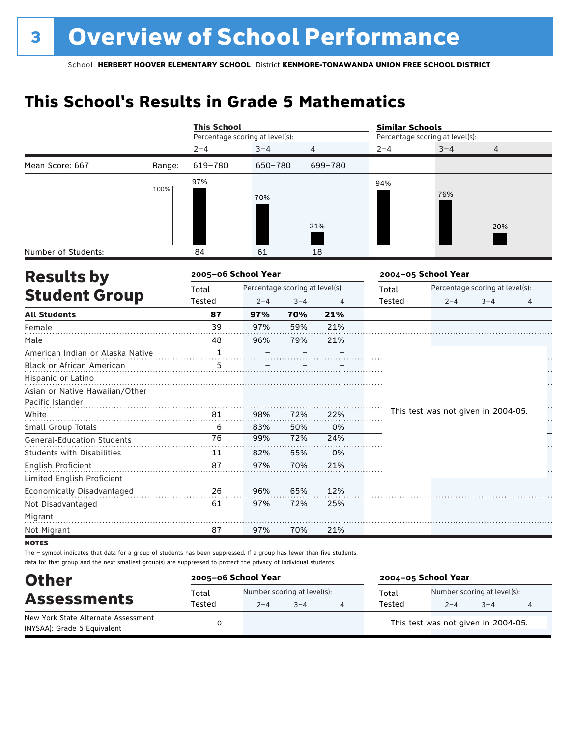### **This School's Results in Grade 5 Mathematics**

|                                   |        | <b>This School</b>              |                                                        |         |                |         | <b>Similar Schools</b>              |                                 |   |  |  |
|-----------------------------------|--------|---------------------------------|--------------------------------------------------------|---------|----------------|---------|-------------------------------------|---------------------------------|---|--|--|
|                                   |        | Percentage scoring at level(s): |                                                        |         |                |         | Percentage scoring at level(s):     |                                 |   |  |  |
|                                   |        | $2 - 4$                         | $3 - 4$                                                | 4       |                | $2 - 4$ | $3 - 4$                             | 4                               |   |  |  |
| Mean Score: 667                   | Range: | 619-780                         | 650-780                                                |         | 699-780        |         |                                     |                                 |   |  |  |
|                                   | 100%   | 97%                             | 70%                                                    |         | 21%            | 94%     | 76%                                 | 20%                             |   |  |  |
| Number of Students:               |        | 84                              | 61                                                     |         | 18             |         |                                     |                                 |   |  |  |
| <b>Results by</b>                 |        |                                 | 2005-06 School Year<br>Percentage scoring at level(s): |         |                |         | 2004-05 School Year                 |                                 |   |  |  |
|                                   |        | Total                           |                                                        |         |                | Total   |                                     | Percentage scoring at level(s): |   |  |  |
| <b>Student Group</b>              |        | Tested                          | $2 - 4$                                                | $3 - 4$ | $\overline{4}$ | Tested  | $2 - 4$                             | $3 - 4$                         | 4 |  |  |
| <b>All Students</b>               |        | 87                              | 97%                                                    | 70%     | 21%            |         |                                     |                                 |   |  |  |
| Female                            |        | 39                              | 97%                                                    | 59%     | 21%            |         |                                     |                                 |   |  |  |
| Male                              |        | 48                              | 96%                                                    | 79%     | 21%            |         |                                     |                                 |   |  |  |
| American Indian or Alaska Native  |        | $\mathbf{1}$                    |                                                        |         |                |         |                                     |                                 |   |  |  |
| Black or African American         |        | 5                               |                                                        |         |                |         |                                     |                                 |   |  |  |
| Hispanic or Latino                |        |                                 |                                                        |         |                |         |                                     |                                 |   |  |  |
| Asian or Native Hawaiian/Other    |        |                                 |                                                        |         |                |         |                                     |                                 |   |  |  |
| Pacific Islander                  |        |                                 |                                                        |         |                |         | This test was not given in 2004-05. |                                 | H |  |  |
| White                             |        | 81                              | 98%                                                    | 72%     | 22%            |         |                                     |                                 | Н |  |  |
| Small Group Totals                |        | 6                               | 83%                                                    | 50%     | 0%             |         |                                     |                                 |   |  |  |
| <b>General-Education Students</b> |        | 76                              | 99%                                                    | 72%     | 24%            |         |                                     |                                 |   |  |  |
| <b>Students with Disabilities</b> |        | 11                              | 82%                                                    | 55%     | 0%             |         |                                     |                                 |   |  |  |
| English Proficient                |        | 87                              | 97%                                                    | 70%     | 21%            |         |                                     |                                 |   |  |  |
| Limited English Proficient        |        |                                 |                                                        |         |                |         |                                     |                                 |   |  |  |
| Economically Disadvantaged        |        | 26                              | 96%                                                    | 65%     | 12%            |         |                                     |                                 |   |  |  |
| Not Disadvantaged                 |        | 61                              | 97%                                                    | 72%     | 25%            |         |                                     |                                 |   |  |  |
| Migrant                           |        |                                 |                                                        |         |                |         |                                     |                                 |   |  |  |
| Not Migrant                       |        | 87                              | 97%                                                    | 70%     | 21%            |         |                                     |                                 |   |  |  |
| $- - - -$                         |        |                                 |                                                        |         |                |         |                                     |                                 |   |  |  |

**NOTES** 

The – symbol indicates that data for a group of students has been suppressed. If a group has fewer than five students, data for that group and the next smallest group(s) are suppressed to protect the privacy of individual students.

| <b>Other</b>                                                       | 2005-06 School Year |                                        |         | 2004-05 School Year                                                  |  |  |  |
|--------------------------------------------------------------------|---------------------|----------------------------------------|---------|----------------------------------------------------------------------|--|--|--|
| <b>Assessments</b>                                                 | Total<br>Tested     | Number scoring at level(s):<br>$2 - 4$ | $3 - 4$ | Number scoring at level(s):<br>Total<br>Tested<br>$3 - 4$<br>$2 - 4$ |  |  |  |
| New York State Alternate Assessment<br>(NYSAA): Grade 5 Equivalent |                     |                                        |         | This test was not given in 2004-05.                                  |  |  |  |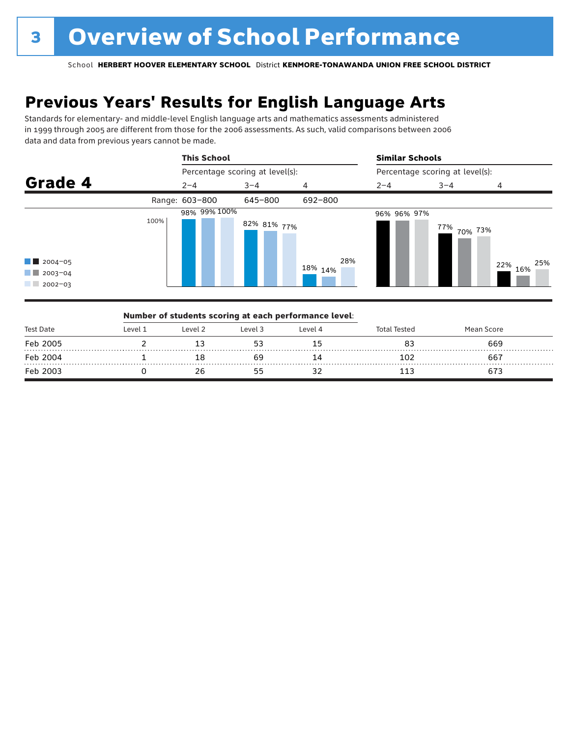## **Previous Years' Results for English Language Arts**

Standards for elementary- and middle-level English language arts and mathematics assessments administered in 1999 through 2005 are different from those for the 2006 assessments. As such, valid comparisons between 2006 data and data from previous years cannot be made.



|           |          |         | Number of students scoring at each performance level: |         |                     |            |  |
|-----------|----------|---------|-------------------------------------------------------|---------|---------------------|------------|--|
| Test Date | l evel 1 | Level 2 | Level 3                                               | Level 4 | <b>Total Tested</b> | Mean Score |  |
| Feb 2005  |          |         |                                                       |         | 83                  | 669        |  |
| Feb 2004  |          |         |                                                       |         | 102                 | 667        |  |
| Feb 2003  |          |         |                                                       |         |                     |            |  |